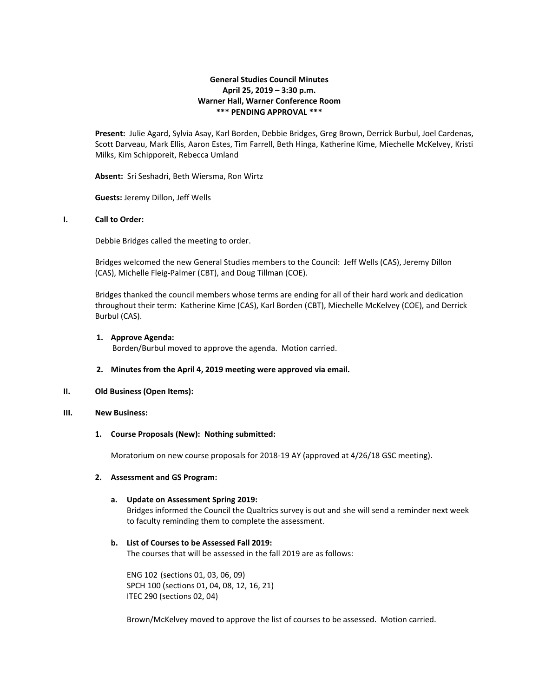# **General Studies Council Minutes April 25, 2019 – 3:30 p.m. Warner Hall, Warner Conference Room \*\*\* PENDING APPROVAL \*\*\***

**Present:** Julie Agard, Sylvia Asay, Karl Borden, Debbie Bridges, Greg Brown, Derrick Burbul, Joel Cardenas, Scott Darveau, Mark Ellis, Aaron Estes, Tim Farrell, Beth Hinga, Katherine Kime, Miechelle McKelvey, Kristi Milks, Kim Schipporeit, Rebecca Umland

**Absent:** Sri Seshadri, Beth Wiersma, Ron Wirtz

**Guests:** Jeremy Dillon, Jeff Wells

# **I. Call to Order:**

Debbie Bridges called the meeting to order.

Bridges welcomed the new General Studies members to the Council: Jeff Wells (CAS), Jeremy Dillon (CAS), Michelle Fleig-Palmer (CBT), and Doug Tillman (COE).

Bridges thanked the council members whose terms are ending for all of their hard work and dedication throughout their term: Katherine Kime (CAS), Karl Borden (CBT), Miechelle McKelvey (COE), and Derrick Burbul (CAS).

### **1. Approve Agenda:**

Borden/Burbul moved to approve the agenda. Motion carried.

#### **2. Minutes from the April 4, 2019 meeting were approved via email.**

### **II. Old Business (Open Items):**

### **III. New Business:**

#### **1. Course Proposals (New): Nothing submitted:**

Moratorium on new course proposals for 2018-19 AY (approved at 4/26/18 GSC meeting).

### **2. Assessment and GS Program:**

#### **a. Update on Assessment Spring 2019:**

Bridges informed the Council the Qualtrics survey is out and she will send a reminder next week to faculty reminding them to complete the assessment.

### **b. List of Courses to be Assessed Fall 2019:**

The courses that will be assessed in the fall 2019 are as follows:

ENG 102 (sections 01, 03, 06, 09) SPCH 100 (sections 01, 04, 08, 12, 16, 21) ITEC 290 (sections 02, 04)

Brown/McKelvey moved to approve the list of courses to be assessed. Motion carried.